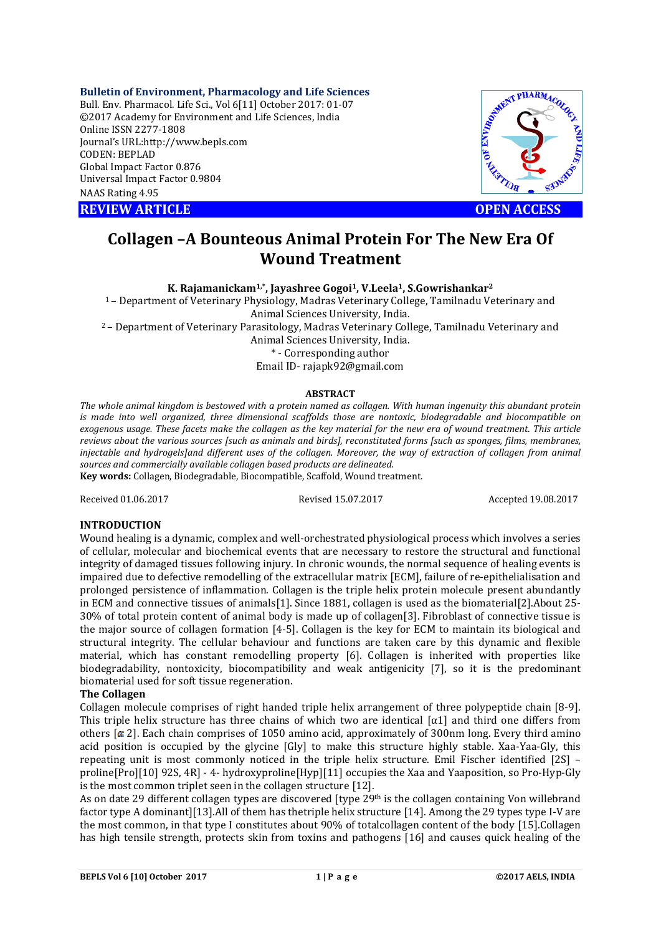#### **Bulletin of Environment, Pharmacology and Life Sciences**

Bull. Env. Pharmacol. Life Sci., Vol 6[11] October 2017: 01-07 ©2017 Academy for Environment and Life Sciences, India Online ISSN 2277-1808 Journal's URL:http://www.bepls.com CODEN: BEPLAD Global Impact Factor 0.876 Universal Impact Factor 0.9804 NAAS Rating 4.95 External's URL:http://www.bepls.com<br>
CODEN: BEPLAD<br>
Clobal Impact Factor 0.876<br>
Universal Impact Factor 0.9804<br>
REVIEW ARTICLE<br>
COPEN ACCESS



# **Collagen –A Bounteous Animal Protein For The New Era Of Wound Treatment**

**K. Rajamanickam1,\*, Jayashree Gogoi1, V.Leela1, S.Gowrishankar2**

1 – Department of Veterinary Physiology, Madras Veterinary College, Tamilnadu Veterinary and Animal Sciences University, India.

2 – Department of Veterinary Parasitology, Madras Veterinary College, Tamilnadu Veterinary and

Animal Sciences University, India.

\* - Corresponding author Email ID- rajapk92@gmail.com

#### **ABSTRACT**

*The whole animal kingdom is bestowed with a protein named as collagen. With human ingenuity this abundant protein is made into well organized, three dimensional scaffolds those are nontoxic, biodegradable and biocompatible on exogenous usage. These facets make the collagen as the key material for the new era of wound treatment. This article reviews about the various sources [such as animals and birds], reconstituted forms [such as sponges, films, membranes, injectable and hydrogels]and different uses of the collagen. Moreover, the way of extraction of collagen from animal sources and commercially available collagen based products are delineated.* **Key words:** Collagen, Biodegradable, Biocompatible, Scaffold, Wound treatment.

Received 01.06.2017 Revised 15.07.2017 Accepted 19.08.2017

### **INTRODUCTION**

Wound healing is a dynamic, complex and well-orchestrated physiological process which involves a series of cellular, molecular and biochemical events that are necessary to restore the structural and functional integrity of damaged tissues following injury. In chronic wounds, the normal sequence of healing events is impaired due to defective remodelling of the extracellular matrix [ECM], failure of re-epithelialisation and prolonged persistence of inflammation. Collagen is the triple helix protein molecule present abundantly in ECM and connective tissues of animals[1]. Since 1881, collagen is used as the biomaterial[2].About 25- 30% of total protein content of animal body is made up of collagen[3]. Fibroblast of connective tissue is the major source of collagen formation [4-5]. Collagen is the key for ECM to maintain its biological and structural integrity. The cellular behaviour and functions are taken care by this dynamic and flexible material, which has constant remodelling property [6]. Collagen is inherited with properties like biodegradability, nontoxicity, biocompatibility and weak antigenicity [7], so it is the predominant biomaterial used for soft tissue regeneration.

#### **The Collagen**

Collagen molecule comprises of right handed triple helix arrangement of three polypeptide chain [8-9]. This triple helix structure has three chains of which two are identical  $\alpha$ 1 and third one differs from others  $\alpha$  2]. Each chain comprises of 1050 amino acid, approximately of 300nm long. Every third amino acid position is occupied by the glycine [Gly] to make this structure highly stable. Xaa-Yaa-Gly, this repeating unit is most commonly noticed in the triple helix structure. Emil Fischer identified [2S] – proline[Pro][10] 92S, 4R] - 4- hydroxyproline[Hyp][11] occupies the Xaa and Yaaposition, so Pro-Hyp-Gly is the most common triplet seen in the collagen structure [12].

As on date 29 different collagen types are discovered [type 29<sup>th</sup> is the collagen containing Von willebrand factor type A dominant][13].All of them has thetriple helix structure [14]. Among the 29 types type I-V are the most common, in that type I constitutes about 90% of totalcollagen content of the body [15].Collagen has high tensile strength, protects skin from toxins and pathogens [16] and causes quick healing of the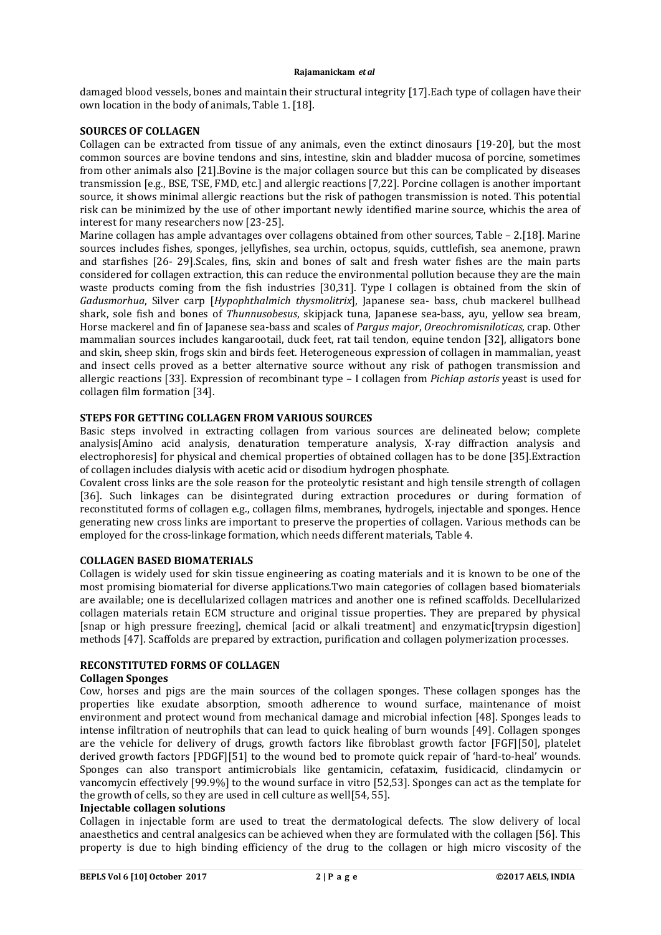damaged blood vessels, bones and maintain their structural integrity [17].Each type of collagen have their own location in the body of animals, Table 1. [18].

### **SOURCES OF COLLAGEN**

Collagen can be extracted from tissue of any animals, even the extinct dinosaurs [19-20], but the most common sources are bovine tendons and sins, intestine, skin and bladder mucosa of porcine, sometimes from other animals also [21].Bovine is the major collagen source but this can be complicated by diseases transmission [e.g., BSE, TSE, FMD, etc.] and allergic reactions [7,22]. Porcine collagen is another important source, it shows minimal allergic reactions but the risk of pathogen transmission is noted. This potential risk can be minimized by the use of other important newly identified marine source, whichis the area of interest for many researchers now [23-25].

Marine collagen has ample advantages over collagens obtained from other sources, Table – 2.[18]. Marine sources includes fishes, sponges, jellyfishes, sea urchin, octopus, squids, cuttlefish, sea anemone, prawn and starfishes [26- 29].Scales, fins, skin and bones of salt and fresh water fishes are the main parts considered for collagen extraction, this can reduce the environmental pollution because they are the main waste products coming from the fish industries [30,31]. Type I collagen is obtained from the skin of *Gadusmorhua*, Silver carp [*Hypophthalmich thysmolitrix*], Japanese sea- bass, chub mackerel bullhead shark, sole fish and bones of *Thunnusobesus*, skipjack tuna, Japanese sea-bass, ayu, yellow sea bream, Horse mackerel and fin of Japanese sea-bass and scales of *Pargus major*, *Oreochromisniloticas*, crap. Other mammalian sources includes kangarootail, duck feet, rat tail tendon, equine tendon [32], alligators bone and skin, sheep skin, frogs skin and birds feet. Heterogeneous expression of collagen in mammalian, yeast and insect cells proved as a better alternative source without any risk of pathogen transmission and allergic reactions [33]. Expression of recombinant type – I collagen from *Pichiap astoris* yeast is used for collagen film formation [34].

## **STEPS FOR GETTING COLLAGEN FROM VARIOUS SOURCES**

Basic steps involved in extracting collagen from various sources are delineated below; complete analysis[Amino acid analysis, denaturation temperature analysis, X-ray diffraction analysis and electrophoresis] for physical and chemical properties of obtained collagen has to be done [35].Extraction of collagen includes dialysis with acetic acid or disodium hydrogen phosphate.

Covalent cross links are the sole reason for the proteolytic resistant and high tensile strength of collagen [36]. Such linkages can be disintegrated during extraction procedures or during formation of reconstituted forms of collagen e.g., collagen films, membranes, hydrogels, injectable and sponges. Hence generating new cross links are important to preserve the properties of collagen. Various methods can be employed for the cross-linkage formation, which needs different materials, Table 4.

#### **COLLAGEN BASED BIOMATERIALS**

Collagen is widely used for skin tissue engineering as coating materials and it is known to be one of the most promising biomaterial for diverse applications.Two main categories of collagen based biomaterials are available; one is decellularized collagen matrices and another one is refined scaffolds. Decellularized collagen materials retain ECM structure and original tissue properties. They are prepared by physical [snap or high pressure freezing], chemical [acid or alkali treatment] and enzymatic[trypsin digestion] methods [47]. Scaffolds are prepared by extraction, purification and collagen polymerization processes.

## **RECONSTITUTED FORMS OF COLLAGEN**

## **Collagen Sponges**

Cow, horses and pigs are the main sources of the collagen sponges. These collagen sponges has the properties like exudate absorption, smooth adherence to wound surface, maintenance of moist environment and protect wound from mechanical damage and microbial infection [48]. Sponges leads to intense infiltration of neutrophils that can lead to quick healing of burn wounds [49]. Collagen sponges are the vehicle for delivery of drugs, growth factors like fibroblast growth factor [FGF][50], platelet derived growth factors [PDGF][51] to the wound bed to promote quick repair of 'hard-to-heal' wounds. Sponges can also transport antimicrobials like gentamicin, cefataxim, fusidicacid, clindamycin or vancomycin effectively [99.9%] to the wound surface in vitro [52,53]. Sponges can act as the template for the growth of cells, so they are used in cell culture as well[54, 55].

#### **Injectable collagen solutions**

Collagen in injectable form are used to treat the dermatological defects. The slow delivery of local anaesthetics and central analgesics can be achieved when they are formulated with the collagen [56]. This property is due to high binding efficiency of the drug to the collagen or high micro viscosity of the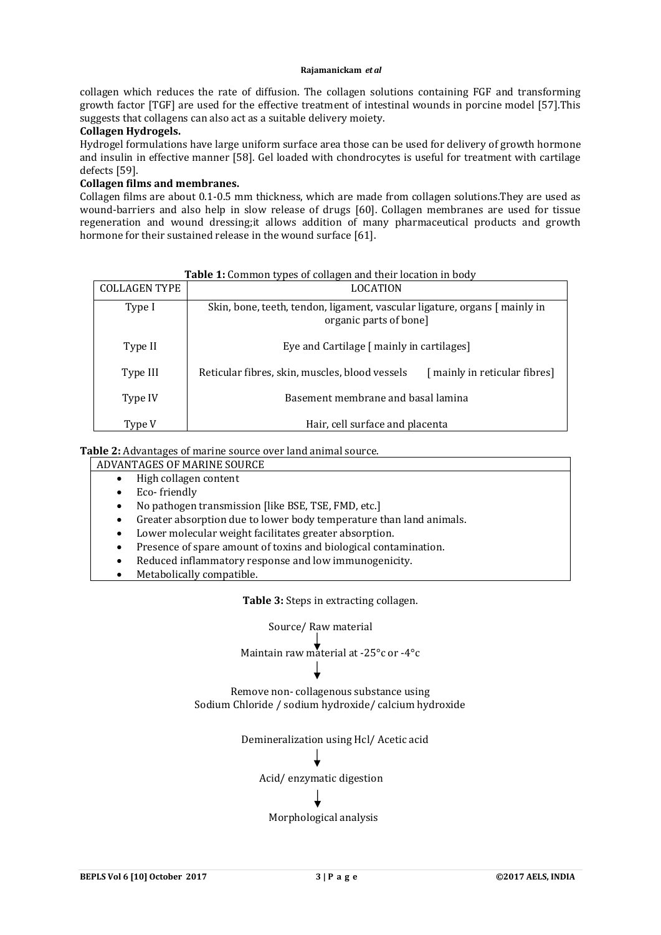collagen which reduces the rate of diffusion. The collagen solutions containing FGF and transforming growth factor [TGF] are used for the effective treatment of intestinal wounds in porcine model [57].This suggests that collagens can also act as a suitable delivery moiety.

## **Collagen Hydrogels.**

Hydrogel formulations have large uniform surface area those can be used for delivery of growth hormone and insulin in effective manner [58]. Gel loaded with chondrocytes is useful for treatment with cartilage defects [59].

## **Collagen films and membranes.**

Collagen films are about 0.1-0.5 mm thickness, which are made from collagen solutions.They are used as wound-barriers and also help in slow release of drugs [60]. Collagen membranes are used for tissue regeneration and wound dressing;it allows addition of many pharmaceutical products and growth hormone for their sustained release in the wound surface [61].

| <b>COLLAGEN TYPE</b> | <b>LOCATION</b>                                                                                     |                              |  |
|----------------------|-----------------------------------------------------------------------------------------------------|------------------------------|--|
| Type I               | Skin, bone, teeth, tendon, ligament, vascular ligature, organs [ mainly in<br>organic parts of bone |                              |  |
| Type II              | Eye and Cartilage [ mainly in cartilages]                                                           |                              |  |
| Type III             | Reticular fibres, skin, muscles, blood vessels                                                      | [mainly in reticular fibres] |  |
| Type IV              | Basement membrane and basal lamina                                                                  |                              |  |
| Type V               | Hair, cell surface and placenta                                                                     |                              |  |

## **Table 1:** Common types of collagen and their location in body

## **Table 2:** Advantages of marine source over land animal source.

ADVANTAGES OF MARINE SOURCE

- High collagen content
	- Eco- friendly
- No pathogen transmission [like BSE, TSE, FMD, etc.]
- Greater absorption due to lower body temperature than land animals.
- Lower molecular weight facilitates greater absorption.
- Presence of spare amount of toxins and biological contamination.
- Reduced inflammatory response and low immunogenicity.
- Metabolically compatible.

**Table 3:** Steps in extracting collagen.

Source/ Raw material

Maintain raw material at -25°c or -4°c

Remove non- collagenous substance using Sodium Chloride / sodium hydroxide/ calcium hydroxide

Demineralization using Hcl/ Acetic acid

Acid/ enzymatic digestion

Morphological analysis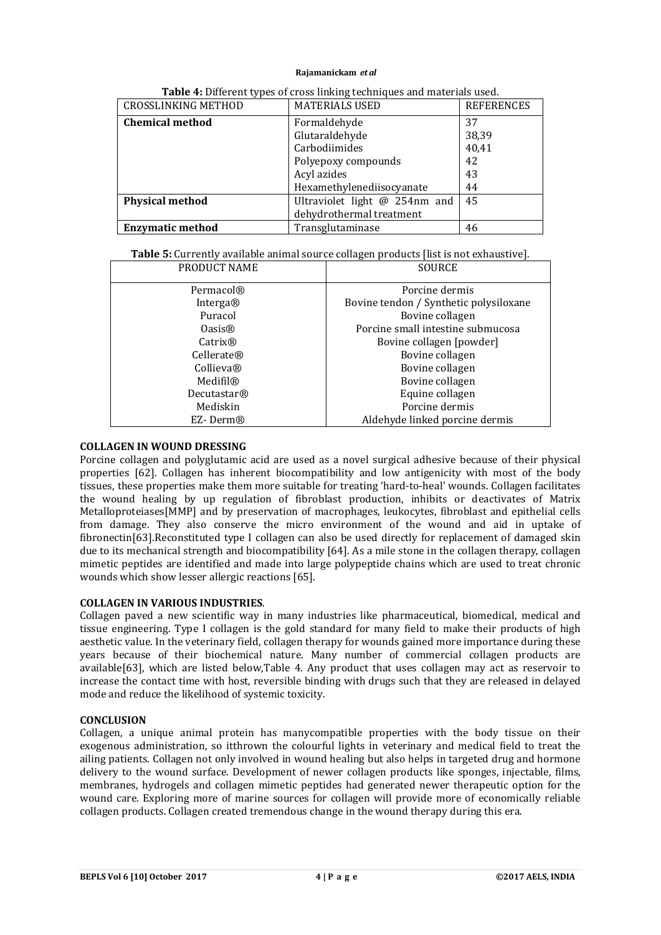| <b>CROSSLINKING METHOD</b> | <b>MATERIALS USED</b>         | <b>REFERENCES</b> |
|----------------------------|-------------------------------|-------------------|
| <b>Chemical method</b>     | Formaldehyde                  | 37                |
|                            | Glutaraldehyde                | 38,39             |
|                            | Carbodiimides                 | 40,41             |
|                            | Polyepoxy compounds           | 42                |
|                            | Acyl azides                   | 43                |
|                            | Hexamethylenediisocyanate     | 44                |
| <b>Physical method</b>     | Ultraviolet light @ 254nm and | 45                |
|                            | dehydrothermal treatment      |                   |
| <b>Enzymatic method</b>    | Transglutaminase              | 46                |

**Table 5:** Currently available animal source collagen products [list is not exhaustive].

| PRODUCT NAME            | <b>SOURCE</b>                          |
|-------------------------|----------------------------------------|
| Permacol <sup>®</sup>   | Porcine dermis                         |
| Interga®                | Bovine tendon / Synthetic polysiloxane |
| Puracol                 | Bovine collagen                        |
| Oasis@                  | Porcine small intestine submucosa      |
| Catrix <sup>®</sup>     | Bovine collagen [powder]               |
| Cellerate®              | Bovine collagen                        |
| Collieva®               | Bovine collagen                        |
| Medifil®                | Bovine collagen                        |
| Decutastar <sup>®</sup> | Equine collagen                        |
| Mediskin                | Porcine dermis                         |
| EZ-Derm®                | Aldehyde linked porcine dermis         |

## **COLLAGEN IN WOUND DRESSING**

Porcine collagen and polyglutamic acid are used as a novel surgical adhesive because of their physical properties [62]. Collagen has inherent biocompatibility and low antigenicity with most of the body tissues, these properties make them more suitable for treating 'hard-to-heal' wounds. Collagen facilitates the wound healing by up regulation of fibroblast production, inhibits or deactivates of Matrix Metalloproteiases[MMP] and by preservation of macrophages, leukocytes, fibroblast and epithelial cells from damage. They also conserve the micro environment of the wound and aid in uptake of fibronectin[63].Reconstituted type I collagen can also be used directly for replacement of damaged skin due to its mechanical strength and biocompatibility [64]. As a mile stone in the collagen therapy, collagen mimetic peptides are identified and made into large polypeptide chains which are used to treat chronic wounds which show lesser allergic reactions [65].

## **COLLAGEN IN VARIOUS INDUSTRIES**.

Collagen paved a new scientific way in many industries like pharmaceutical, biomedical, medical and tissue engineering. Type I collagen is the gold standard for many field to make their products of high aesthetic value. In the veterinary field, collagen therapy for wounds gained more importance during these years because of their biochemical nature. Many number of commercial collagen products are available[63], which are listed below,Table 4. Any product that uses collagen may act as reservoir to increase the contact time with host, reversible binding with drugs such that they are released in delayed mode and reduce the likelihood of systemic toxicity.

#### **CONCLUSION**

Collagen, a unique animal protein has manycompatible properties with the body tissue on their exogenous administration, so itthrown the colourful lights in veterinary and medical field to treat the ailing patients. Collagen not only involved in wound healing but also helps in targeted drug and hormone delivery to the wound surface. Development of newer collagen products like sponges, injectable, films, membranes, hydrogels and collagen mimetic peptides had generated newer therapeutic option for the wound care. Exploring more of marine sources for collagen will provide more of economically reliable collagen products. Collagen created tremendous change in the wound therapy during this era.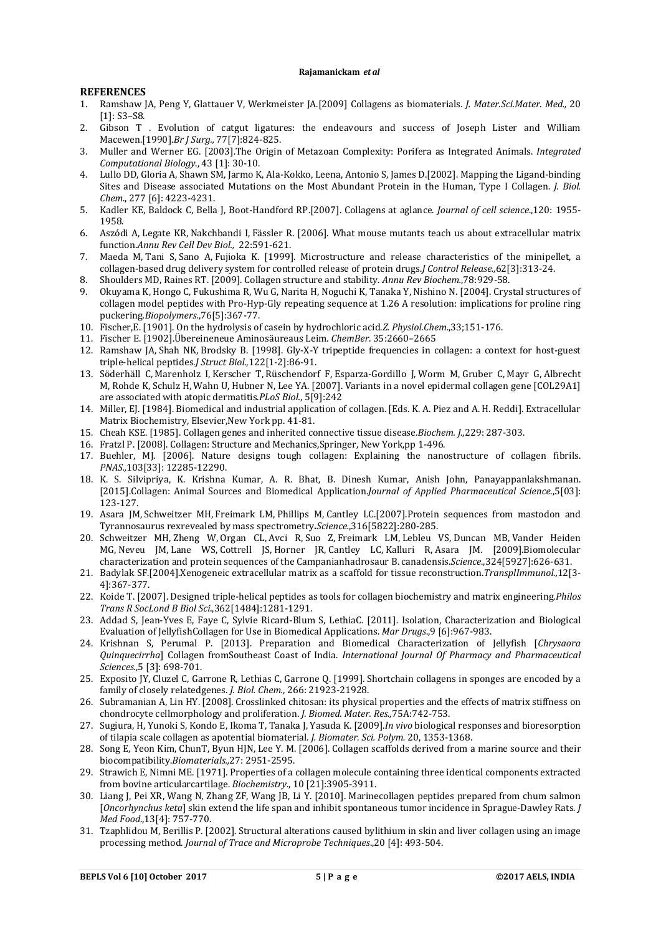#### **REFERENCES**

- 1. Ramshaw JA, Peng Y, Glattauer V, Werkmeister JA.[2009] Collagens as biomaterials. *J. Mater.Sci.Mater. Med.,* 20 [1]: S3-S8.
- 2. Gibson T . Evolution of catgut ligatures: the endeavours and success of Joseph Lister and William Macewen.[1990].*Br J Surg.,* 77[7]:824-825.
- 3. Muller and Werner EG. [2003].The Origin of Metazoan Complexity: Porifera as Integrated Animals. *Integrated Computational Biology*., 43 [1]: 30-10.
- 4. Lullo DD, Gloria A, Shawn SM, Jarmo K, Ala-Kokko, Leena, Antonio S, James D.[2002]. Mapping the Ligand-binding Sites and Disease associated Mutations on the Most Abundant Protein in the Human, Type I Collagen. *J. Biol. Chem*., 277 [6]: 4223-4231.
- 5. Kadler KE, Baldock C, Bella J, Boot-Handford RP.[2007]. Collagens at aglance. *Journal of cell science*.,120: 1955- 1958.
- 6. Aszódi A, Legate KR, Nakchbandi I, Fässler R. [2006]. What mouse mutants teach us about extracellular matrix function.*Annu Rev Cell Dev Biol.,* 22:591-621.
- 7. Maeda M, Tani S, Sano A, Fujioka K. [1999]. Microstructure and release characteristics of the minipellet, a collagen-based drug delivery system for controlled release of protein drugs.*J Control Release.,*62[3]:313-24.
- 8. Shoulders MD, Raines RT. [2009]. Collagen structure and stability. *Annu Rev Biochem.*,78:929-58.
- 9. Okuyama K, Hongo C, Fukushima R, Wu G, Narita H, Noguchi K, Tanaka Y, Nishino N. [2004]. Crystal structures of collagen model peptides with Pro-Hyp-Gly repeating sequence at 1.26 A resolution: implications for proline ring puckering*.Biopolymers.*,76[5]:367-77.
- 10. Fischer,E. [1901]. On the hydrolysis of casein by hydrochloric acid.*Z. Physiol.Chem*.,33;151-176.
- 11. Fischer E. [1902].Übereineneue Aminosäureaus Leim. *ChemBer*. 35:2660–2665
- 12. Ramshaw JA, Shah NK, Brodsky B. [1998]. Gly-X-Y tripeptide frequencies in collagen: a context for host-guest triple-helical peptides*.J Struct Biol.*,122[1-2]:86-91.
- 13. Söderhäll C, Marenholz I, Kerscher T, Rüschendorf F, Esparza-Gordillo J, Worm M, Gruber C, Mayr G, Albrecht M, Rohde K, Schulz H, Wahn U, Hubner N, Lee YA. [2007]. Variants in a novel epidermal collagen gene [COL29A1] are associated with atopic dermatitis.*PLoS Biol.*, 5[9]:242
- 14. Miller, EJ. [1984]. Biomedical and industrial application of collagen. [Eds. K. A. Piez and A. H. Reddi]. Extracellular Matrix Biochemistry, Elsevier,New York pp. 41-81.
- 15. Cheah KSE. [1985]. Collagen genes and inherited connective tissue disease.*Biochem. J.,*229: 287-303.
- 16. Fratzl P. [2008]. Collagen: Structure and Mechanics,Springer, New York,pp 1-496.
- 17. Buehler, MJ. [2006]. Nature designs tough collagen: Explaining the nanostructure of collagen fibrils. *PNAS.,*103[33]: 12285-12290.
- 18. K. S. Silvipriya, K. Krishna Kumar, A. R. Bhat, B. Dinesh Kumar, Anish John, Panayappanlakshmanan. [2015].Collagen: Animal Sources and Biomedical Application.*Journal of Applied Pharmaceutical Science*.,5[03]: 123-127.
- 19. Asara JM, Schweitzer MH, Freimark LM, Phillips M, Cantley LC.[2007].Protein sequences from mastodon and Tyrannosaurus rexrevealed by mass spectrometry*.Science.*,316[5822]:280-285.
- 20. Schweitzer MH, Zheng W, Organ CL, Avci R, Suo Z, Freimark LM, Lebleu VS, Duncan MB, Vander Heiden MG, Neveu JM, Lane WS, Cottrell JS, Horner JR, Cantley LC, Kalluri R, Asara JM. [2009].Biomolecular characterization and protein sequences of the Campanianhadrosaur B. canadensis.*Science*.,324[5927]:626-631.
- 21. Badylak SF.[2004].Xenogeneic extracellular matrix as a scaffold for tissue reconstruction.*TransplImmunol.,*12[3- 4]:367-377.
- 22. Koide T. [2007]. Designed triple-helical peptides as tools for collagen biochemistry and matrix engineering.*Philos Trans R SocLond B Biol Sci*.,362[1484]:1281-1291.
- 23. Addad S, Jean-Yves E, Faye C, Sylvie Ricard-Blum S, LethiaC. [2011]. Isolation, Characterization and Biological Evaluation of JellyfishCollagen for Use in Biomedical Applications. *Mar Drugs*.,9 [6]:967-983.
- 24. Krishnan S, Perumal P. [2013]. Preparation and Biomedical Characterization of Jellyfish [*Chrysaora Quinquecirrha*] Collagen fromSoutheast Coast of India. *International Journal Of Pharmacy and Pharmaceutical Sciences.,*5 [3]: 698-701.
- 25. Exposito JY, Cluzel C, Garrone R, Lethias C, Garrone Q. [1999]. Shortchain collagens in sponges are encoded by a family of closely relatedgenes. *J. Biol. Chem.*, 266: 21923-21928.
- 26. Subramanian A, Lin HY. [2008]. Crosslinked chitosan: its physical properties and the effects of matrix stiffness on chondrocyte cellmorphology and proliferation. *J. Biomed. Mater. Res.,*75A:742-753.
- 27. Sugiura, H, Yunoki S, Kondo E, Ikoma T, Tanaka J, Yasuda K. [2009].*In vivo* biological responses and bioresorption of tilapia scale collagen as apotential biomaterial. *J. Biomater. Sci. Polym.* 20, 1353-1368.
- 28. Song E, Yeon Kim, ChunT, Byun HJN, Lee Y. M. [2006]. Collagen scaffolds derived from a marine source and their biocompatibility.*Biomaterials.,*27: 2951-2595.
- 29. Strawich E, Nimni ME. [1971]. Properties of a collagen molecule containing three identical components extracted from bovine articularcartilage. *Biochemistry*., 10 [21]:3905-3911.
- 30. Liang J, Pei XR, Wang N, Zhang ZF, Wang JB, Li Y. [2010]. Marinecollagen peptides prepared from chum salmon [*Oncorhynchus keta*] skin extend the life span and inhibit spontaneous tumor incidence in Sprague-Dawley Rats. *J Med Food*.,13[4]: 757-770.
- 31. Tzaphlidou M, Berillis P. [2002]. Structural alterations caused bylithium in skin and liver collagen using an image processing method. *Journal of Trace and Microprobe Techniques*.,20 [4]: 493-504.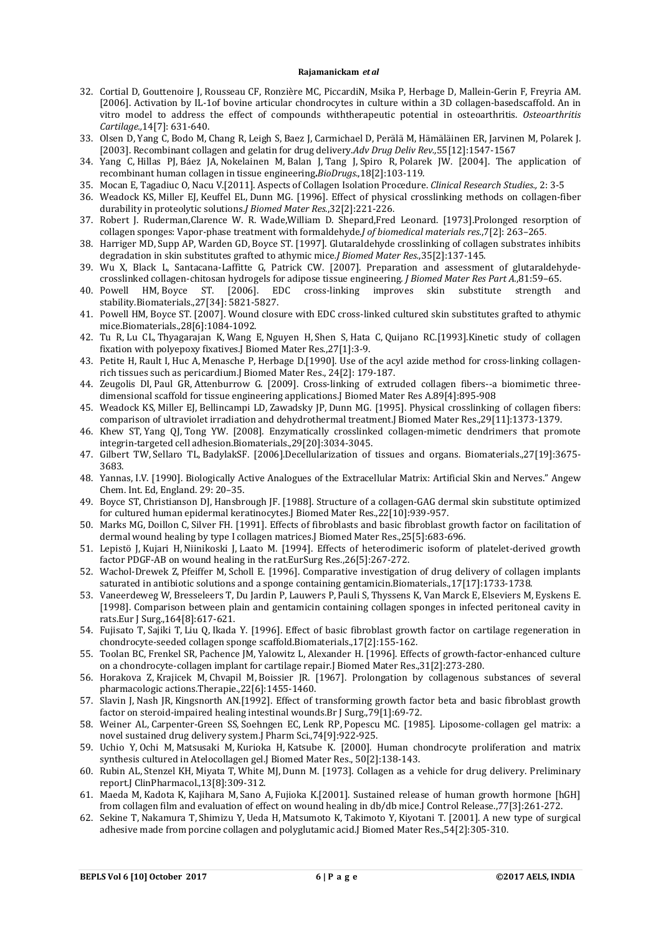- 32. Cortial D, Gouttenoire J, Rousseau CF, Ronzière MC, PiccardiN, Msika P, Herbage D, Mallein-Gerin F, Freyria AM. [2006]. Activation by IL-1of bovine articular chondrocytes in culture within a 3D collagen-basedscaffold. An in vitro model to address the effect of compounds withtherapeutic potential in osteoarthritis. *Osteoarthritis Cartilage.,*14[7]: 631-640.
- 33. Olsen D, Yang C, Bodo M, Chang R, Leigh S, Baez J, Carmichael D, Perälä M, Hämäläinen ER, Jarvinen M, Polarek J. [2003]. Recombinant collagen and gelatin for drug delivery.*Adv Drug Deliv Rev.,*55[12]:1547-1567
- 34. Yang C, Hillas PJ, Báez JA, Nokelainen M, Balan J, Tang J, Spiro R, Polarek JW. [2004]. The application of recombinant human collagen in tissue engineering**.***BioDrugs*.,18[2]:103-119.
- 35. Mocan E, Tagadiuc O, Nacu V.[2011]. Aspects of Collagen Isolation Procedure. *Clinical Research Studies.,* 2: 3-5
- 36. Weadock KS, Miller EJ, Keuffel EL, Dunn MG. [1996]. Effect of physical crosslinking methods on collagen-fiber durability in proteolytic solutions.*J Biomed Mater Res.*,32[2]:221-226.
- 37. Robert J. Ruderman,Clarence W. R. Wade,William D. Shepard,Fred Leonard. [1973].Prolonged resorption of collagen sponges: Vapor-phase treatment with formaldehyde.*J of biomedical materials res.*,7[2]: 263–265.
- 38. Harriger MD, Supp AP, Warden GD, Boyce ST. [1997]. Glutaraldehyde crosslinking of collagen substrates inhibits degradation in skin substitutes grafted to athymic mice*.J Biomed Mater Res.*,35[2]:137-145.
- 39. Wu X, Black L, Santacana-Laffitte G, Patrick CW. [2007]. Preparation and assessment of glutaraldehydecrosslinked collagen-chitosan hydrogels for adipose tissue engineering*. J Biomed Mater Res Part A.*,81:59–65.
- 40. Powell HM, Boyce ST. [2006]. EDC cross-linking improves skin substitute strength and stability.Biomaterials.,27[34]: 5821-5827.
- 41. Powell HM, Boyce ST. [2007]. Wound closure with EDC cross-linked cultured skin substitutes grafted to athymic mice.Biomaterials.,28[6]:1084-1092.
- 42. Tu R, Lu CL, Thyagarajan K, Wang E, Nguyen H, Shen S, Hata C, Quijano RC.[1993].Kinetic study of collagen fixation with polyepoxy fixatives.J Biomed Mater Res.,27[1]:3-9.
- 43. Petite H, Rault I, Huc A, Menasche P, Herbage D.[1990]. Use of the acyl azide method for cross-linking collagenrich tissues such as pericardium.J Biomed Mater Res., 24[2]: 179-187.
- 44. Zeugolis DI, Paul GR, Attenburrow G. [2009]. Cross-linking of extruded collagen fibers--a biomimetic threedimensional scaffold for tissue engineering applications.J Biomed Mater Res A.89[4]:895-908
- 45. Weadock KS, Miller EJ, Bellincampi LD, Zawadsky JP, Dunn MG. [1995]. Physical crosslinking of collagen fibers: comparison of ultraviolet irradiation and dehydrothermal treatment.J Biomed Mater Res.,29[11]:1373-1379.
- 46. Khew ST, Yang QJ, Tong YW. [2008]. Enzymatically crosslinked collagen-mimetic dendrimers that promote integrin-targeted cell adhesion.Biomaterials.,29[20]:3034-3045.
- 47. Gilbert TW, Sellaro TL, BadylakSF. [2006].Decellularization of tissues and organs. Biomaterials.,27[19]:3675- 3683.
- 48. Yannas, I.V. [1990]. Biologically Active Analogues of the Extracellular Matrix: Artificial Skin and Nerves." Angew Chem. Int. Ed, England. 29: 20–35.
- 49. Boyce ST, Christianson DJ, Hansbrough JF. [1988]. Structure of a collagen-GAG dermal skin substitute optimized for cultured human epidermal keratinocytes.J Biomed Mater Res.,22[10]:939-957.
- 50. Marks MG, Doillon C, Silver FH. [1991]. Effects of fibroblasts and basic fibroblast growth factor on facilitation of dermal wound healing by type I collagen matrices.J Biomed Mater Res.,25[5]:683-696.
- 51. Lepistö J, Kujari H, Niinikoski J, Laato M. [1994]. Effects of heterodimeric isoform of platelet-derived growth factor PDGF-AB on wound healing in the rat.EurSurg Res.,26[5]:267-272.
- 52. Wachol-Drewek Z, Pfeiffer M, Scholl E. [1996]. Comparative investigation of drug delivery of collagen implants saturated in antibiotic solutions and a sponge containing gentamicin.Biomaterials.,17[17]:1733-1738.
- 53. Vaneerdeweg W, Bresseleers T, Du Jardin P, Lauwers P, Pauli S, Thyssens K, Van Marck E, Elseviers M, Eyskens E. [1998]. Comparison between plain and gentamicin containing collagen sponges in infected peritoneal cavity in rats.Eur J Surg.,164[8]:617-621.
- 54. Fujisato T, Sajiki T, Liu Q, Ikada Y. [1996]. Effect of basic fibroblast growth factor on cartilage regeneration in chondrocyte-seeded collagen sponge scaffold.Biomaterials.,17[2]:155-162.
- 55. Toolan BC, Frenkel SR, Pachence JM, Yalowitz L, Alexander H. [1996]. Effects of growth-factor-enhanced culture on a chondrocyte-collagen implant for cartilage repair.J Biomed Mater Res.,31[2]:273-280.
- 56. Horakova Z, Krajicek M, Chvapil M, Boissier JR. [1967]. Prolongation by collagenous substances of several pharmacologic actions.Therapie.,22[6]:1455-1460.
- 57. Slavin J, Nash JR, Kingsnorth AN.[1992]. Effect of transforming growth factor beta and basic fibroblast growth factor on steroid-impaired healing intestinal wounds.Br J Surg.,79[1]:69-72.
- 58. Weiner AL, Carpenter-Green SS, Soehngen EC, Lenk RP, Popescu MC. [1985]. Liposome-collagen gel matrix: a novel sustained drug delivery system.J Pharm Sci.,74[9]:922-925.
- 59. Uchio Y, Ochi M, Matsusaki M, Kurioka H, Katsube K. [2000]. Human chondrocyte proliferation and matrix synthesis cultured in Atelocollagen gel.J Biomed Mater Res., 50[2]:138-143.
- 60. Rubin AL, Stenzel KH, Miyata T, White MJ, Dunn M. [1973]. Collagen as a vehicle for drug delivery. Preliminary report.J ClinPharmacol.,13[8]:309-312.
- 61. Maeda M, Kadota K, Kajihara M, Sano A, Fujioka K.[2001]. Sustained release of human growth hormone [hGH] from collagen film and evaluation of effect on wound healing in db/db mice. Control Release.,77[3]:261-272.
- 62. Sekine T, Nakamura T, Shimizu Y, Ueda H, Matsumoto K, Takimoto Y, Kiyotani T. [2001]. A new type of surgical adhesive made from porcine collagen and polyglutamic acid.J Biomed Mater Res.,54[2]:305-310.